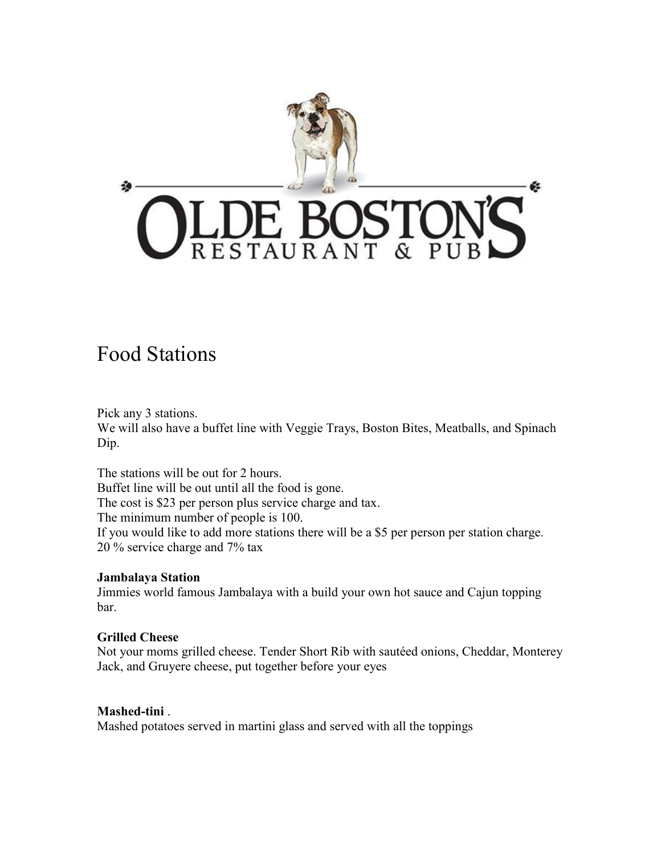

# Food Stations

Pick any 3 stations. We will also have a buffet line with Veggie Trays, Boston Bites, Meatballs, and Spinach Dip.

The stations will be out for 2 hours. Buffet line will be out until all the food is gone. The cost is \$23 per person plus service charge and tax. The minimum number of people is 100. If you would like to add more stations there will be a \$5 per person per station charge. 20 % service charge and 7% tax

## **Jambalaya Station**

Jimmies world famous Jambalaya with a build your own hot sauce and Cajun topping bar.

## **Grilled Cheese**

Not your moms grilled cheese. Tender Short Rib with sautéed onions, Cheddar, Monterey Jack, and Gruyere cheese, put together before your eyes

## **Mashed-tini** .

Mashed potatoes served in martini glass and served with all the toppings